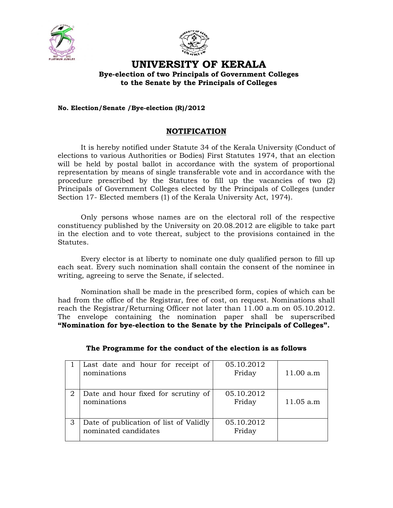



# **UNIVERSITY OF KERALA**

### **Bye-election of two Principals of Government Colleges to the Senate by the Principals of Colleges**

**No. Election/Senate /Bye-election (R)/2012** 

## **NOTIFICATION**

It is hereby notified under Statute 34 of the Kerala University (Conduct of elections to various Authorities or Bodies) First Statutes 1974, that an election will be held by postal ballot in accordance with the system of proportional representation by means of single transferable vote and in accordance with the procedure prescribed by the Statutes to fill up the vacancies of two (2) Principals of Government Colleges elected by the Principals of Colleges (under Section 17- Elected members (1) of the Kerala University Act, 1974).

Only persons whose names are on the electoral roll of the respective constituency published by the University on 20.08.2012 are eligible to take part in the election and to vote thereat, subject to the provisions contained in the Statutes.

Every elector is at liberty to nominate one duly qualified person to fill up each seat. Every such nomination shall contain the consent of the nominee in writing, agreeing to serve the Senate, if selected.

Nomination shall be made in the prescribed form, copies of which can be had from the office of the Registrar, free of cost, on request. Nominations shall reach the Registrar/Returning Officer not later than 11.00 a.m on 05.10.2012. The envelope containing the nomination paper shall be superscribed **"Nomination for bye-election to the Senate by the Principals of Colleges".**

|   | Last date and hour for receipt of<br>nominations               | 05.10.2012<br>Friday | 11.00 a.m |
|---|----------------------------------------------------------------|----------------------|-----------|
| 2 | Date and hour fixed for scrutiny of<br>nominations             | 05.10.2012<br>Friday | 11.05 a.m |
|   | Date of publication of list of Validly<br>nominated candidates | 05.10.2012<br>Friday |           |

### **The Programme for the conduct of the election is as follows**